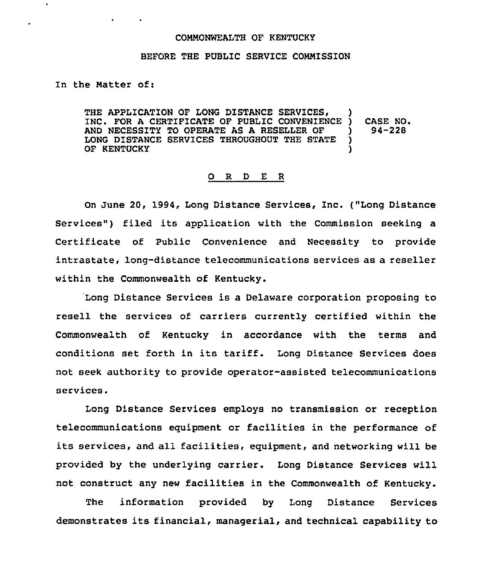## CONNONWEALTH OF KENTUCKY

## BEFORE THE PUBLIC SERVICE CONMISSION

In the Natter of:

 $\bullet$  .  $\bullet$  .

THE APPLICATION OF LONG DISTANCE SERVICES, INC. FOR A CERTIFICATE OF PUBLIC CONVENIENCE ) CASE NO.<br>AND NECESSITY TO OPERATE AS A RESELLER OF ) 94-228 AND NECESSITY TO OPERATE AS A RESELLER OF )<br>LONG DISTANCE SERVICES THROUGHOUT THE STATE ) LONG DISTANCE SERVICES THROUGHOUT THE STATE )<br>OF KENTUCKY OF KENTUCKY

## 0 <sup>R</sup> <sup>D</sup> E <sup>R</sup>

On June 20, 1994, Long Distance Services, Inc. ("Long Distance Services") filed its application with the Commission seeking a Certificate of Public Convenience and Necessity to provide intrastate, long-distance telecommunications services as a reseller within the Commonwealth of Kentucky.

Long Distance Services is a Delaware corporation proposing to resell the services of carriers currently certified within the Commonwealth of Kentucky in accordance with the terms and conditions set forth in its tariff. Long Distance Services does not seek authority to provide operator-assisted telecommunications services.

Long Distance Services employs no transmission or reception telecommunications equipment or facilities in the performance of its services, and all facilities, equipment, and networking will be provided by the underlying carrier. Long Distance Services will not construct any new facilities in the Commonwealth of Kentucky.

The information provided by Long Distance Services demonstrates its financial, managerial, and technical capability to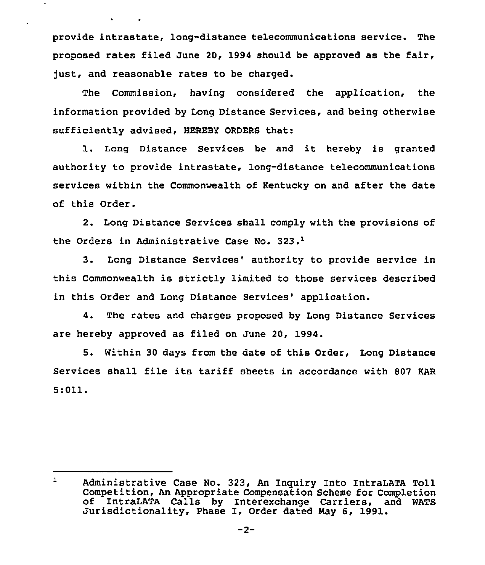provide intrastate, long-distance telecommunications service. The proposed rates filed June 20, 1994 should be approved as the fair, just, and reasonable rates to be charged.

The Commission, having considered the application, the information provided by Iong Distance Services, and being otherwise sufficiently advised, HEREBY ORDERS that:

1. Long Distance Services be and it hereby is granted authority to provide intrastate, long-distance telecommunications services within the Commonwealth of Kentucky on and after the date of this Order.

2. Long Distance Services shall comply with the provisions of the Orders in Administrative Case No. 323.<sup>1</sup>

 $3.$ Long Distance Services' authority to provide service in this Commonwealth is strictly limited to those services described in this Order and Long Distance Services' application.

4. The rates and charges proposed by Long Distance Services are hereby approved as filed on June 20, 1994.

5. Within 30 days from the date of this Order, Long Distance Services shall file its tariff sheets in accordance with <sup>807</sup> KAR  $5:011.$ 

 $\mathbf{1}$ Administrative Case No. 323, An lnguiry Into IntraLATA Toll of IntraLATA Calls by Interexchange Carriers, and WATS<br>Jurisdictionality, Phase I, Order dated May 6, 1991.